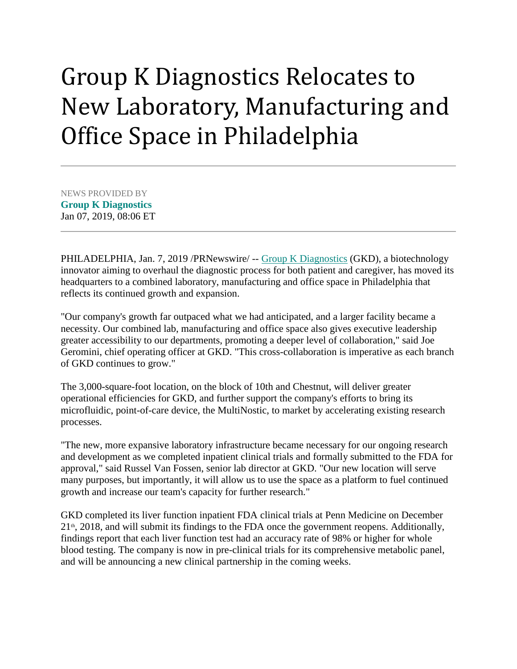## Group K Diagnostics Relocates to New Laboratory, Manufacturing and Office Space in Philadelphia

NEWS PROVIDED BY **[Group K Diagnostics](https://www.prnewswire.com/news/Group+K+Diagnostics)** Jan 07, 2019, 08:06 ET

PHILADELPHIA, Jan. 7, 2019 /PRNewswire/ -- [Group K Diagnostics](https://c212.net/c/link/?t=0&l=en&o=2339910-1&h=3207452794&u=https%3A%2F%2Fwww.groupkdiagnostics.com%2F&a=Group+K+Diagnostics) (GKD), a biotechnology innovator aiming to overhaul the diagnostic process for both patient and caregiver, has moved its headquarters to a combined laboratory, manufacturing and office space in Philadelphia that reflects its continued growth and expansion.

"Our company's growth far outpaced what we had anticipated, and a larger facility became a necessity. Our combined lab, manufacturing and office space also gives executive leadership greater accessibility to our departments, promoting a deeper level of collaboration," said Joe Geromini, chief operating officer at GKD. "This cross-collaboration is imperative as each branch of GKD continues to grow."

The 3,000-square-foot location, on the block of 10th and Chestnut, will deliver greater operational efficiencies for GKD, and further support the company's efforts to bring its microfluidic, point-of-care device, the MultiNostic, to market by accelerating existing research processes.

"The new, more expansive laboratory infrastructure became necessary for our ongoing research and development as we completed inpatient clinical trials and formally submitted to the FDA for approval," said Russel Van Fossen, senior lab director at GKD. "Our new location will serve many purposes, but importantly, it will allow us to use the space as a platform to fuel continued growth and increase our team's capacity for further research."

GKD completed its liver function inpatient FDA clinical trials at Penn Medicine on December  $21<sup>th</sup>$ , 2018, and will submit its findings to the FDA once the government reopens. Additionally, findings report that each liver function test had an accuracy rate of 98% or higher for whole blood testing. The company is now in pre-clinical trials for its comprehensive metabolic panel, and will be announcing a new clinical partnership in the coming weeks.